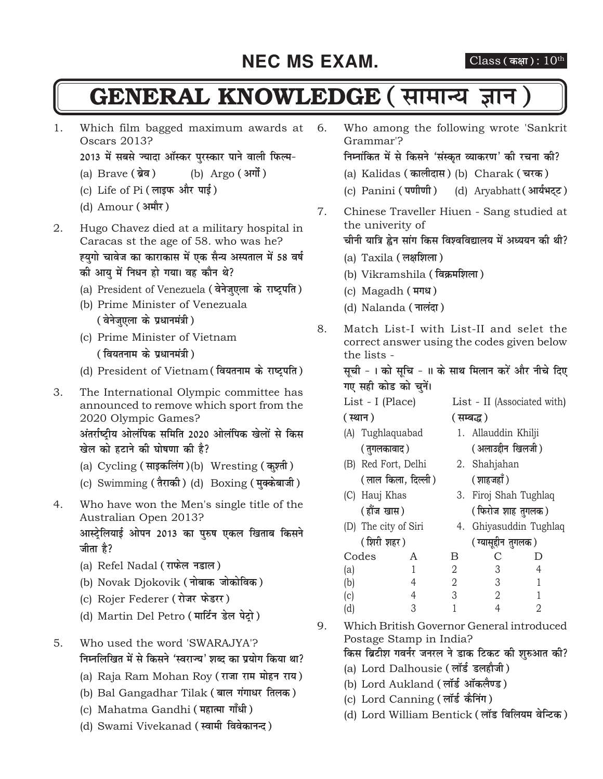### **NEC MS EXAM.** Class (कक्षा):  $10^{th}$

### **GENERAL KNOWLEDGE (सामान्य ज्ञान**

1. Which film bagged maximum awards at Oscars 2013?

2013 में सबसे ज्यादा ऑस्कर पुरस्कार पाने वाली फिल्म-

- (a) Brave (ब्रेव) (b) Argo (अर्गो)
- (c) Life of Pi (लाइफ और पाई)
- (d) Amour **(अमौर)**
- 2. Hugo Chavez died at a military hospital in Caracas st the age of 58. who was he? ह्यगो चावेज का काराकास में एक सैन्य अस्पताल में 58 वर्ष <u>की आयु में निधन हो गया। वह कौन थे?</u>
	- (a) President of Venezuela (वेनेजएला के राष्ट्रपति)
	- (b) Prime Minister of Venezuala *(* वेनेजुएला के प्रधानमंत्री)
	- (c) Prime Minister of Vietnam *(* वियतनाम के प्रधानमंत्री)
	- (d) President of Vietnam (वियतनाम के राष्ट्रपति)

3. The International Olympic committee has announced to remove which sport from the 2020 Olympic Games?

> अंतर्राष्ट्रीय ओलंपिक समिति 2020 ओलंपिक खेलों से किस **खेल को हटाने की घोषणा की है?**

- (a) Cycling **(lkbdfyax)**(b) Wresting **(dq'rh)**
- (c) Swimming (तैराकी) (d) Boxing (मुक्केबाजी)
- 4. Who have won the Men's single title of the Australian Open 2013? आस्ट्रेलियाई ओपन 2013 का परुष एकल खिताब किसने <u>जीता है?</u>
	- (a) Refel Nadal (राफेल नडाल)
	- (b) Novak Djokovik ( **नोबाक जोकोविक**)
	- (c) Rojer Federer (रोजर फेडरर)
	- (d) Martin Del Petro (मार्टिन डेल पेट्रो)
- 5. Who used the word 'SWARAJYA'? **fिम्नलिखित में से किसने 'स्वराज्य' शब्द का प्रयोग किया था?** 
	- (a) Raja Ram Mohan Roy (राजा राम मोहन राय)
	- (b) Bal Gangadhar Tilak (बाल गंगाधर तिलक)
	- (c) Mahatma Gandhi (महात्मा गाँधी)
	- (d) Swami Vivekanad (स्वामी विवेकानन्द)
- 6. Who among the following wrote 'Sankrit Grammar'? **निम्नांकित में से किसने 'संस्कृत व्याकरण' की रचना की?** (a) Kalidas (कालीदास) (b) Charak (चरक) (c) Panini (पर्णाणी) (d) Aryabhatt (आर्यभट्ट) 7. Chinese Traveller Hiuen - Sang studied at the univerity of <u>चीनी यात्रि ह्वेन सांग किस विश्वविद्यालय में अध्ययन की थी?</u> (a) Taxila (लक्षशिला) (b) Vikramshila **(foØef'kyk)** (c) Magadh (मगध) (d) Nalanda (नालंदा) 8. Match List-I with List-II and selet the correct answer using the codes given below the lists - सूची - । को सूचि - ॥ के साथ मिलान करें और नीचे दिए गए सही कोड को **चनें**। List - I (Place) List - II (Associated with) **(LFkku) (lEc¼)**
	- (A) Tughlaquabad 1. Allauddin Khilji **( तगलकावाद )** ( अलाउद्दीन खिलजी )
	- (B) Red Fort, Delhi 2. Shahjahan **(yky fdyk] fnYyh) ('kkgtgk¡)**
	- (C) Hauj Khas 3. Firoj Shah Tughlaq
	- **( हौंज खास)** ( फिरोज शाह तगलक ) (D) The city of Siri 4. Ghiyasuddin Tughlaq
		- ( शिरी शहर ) ( ग्यासद्दीन तगलक )

| Codes |   | B |   |  |
|-------|---|---|---|--|
| (a)   |   |   | ર |  |
| (b)   |   |   | C |  |
| (c)   |   | ্ |   |  |
| (d    | C |   |   |  |

9. Which British Governor General introduced Postage Stamp in India?

**किस ब्रिटीश गवर्नर जनरल ने डाक टिकट की शुरुआत की?** 

- (a) Lord Dalhousie (लॉर्ड डलहौजी)
- (b) Lord Aukland (लॉर्ड ऑकलैण्ड)
- (c) Lord Canning (लॉर्ड कैनिंग)
- d) Lord William Bentick (लॉड विलियम वेन्टिक)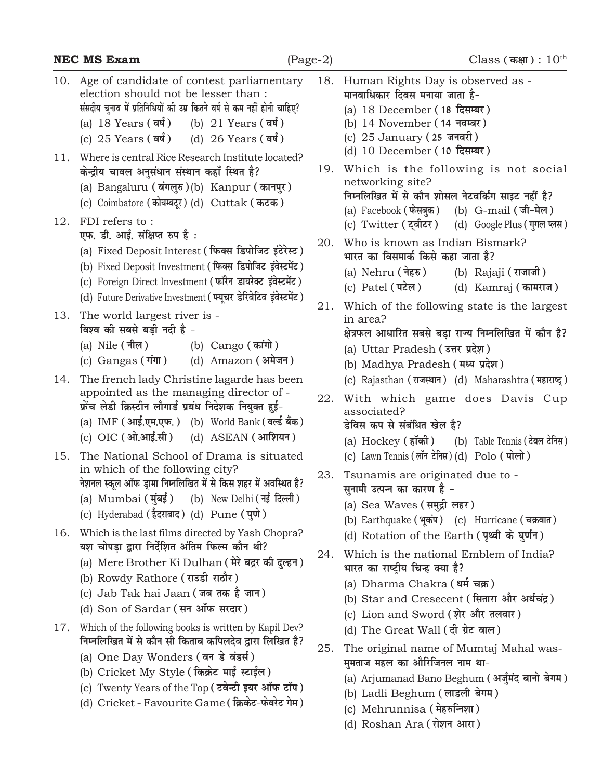|            | <b>NEC MS Exam</b>                                                                                                                                                                                                                                                                                           | $(Page-2)$ | Class (कक्षा): $10^{\text{th}}$                                                                                                                                                                                                                            |
|------------|--------------------------------------------------------------------------------------------------------------------------------------------------------------------------------------------------------------------------------------------------------------------------------------------------------------|------------|------------------------------------------------------------------------------------------------------------------------------------------------------------------------------------------------------------------------------------------------------------|
| 10.        | Age of candidate of contest parliamentary<br>election should not be lesser than :<br>संसदीय चुनाव में प्रतिनिधियों की उम्र कितने वर्ष से कम नहीं होनी चाहिए?<br>(a) 18 Years (वर्ष)<br>(b) 21 Years (वर्ष)<br>(c) $25$ Years $(\overline{a}\overline{b})$<br>(d) $26$ Years $(\overline{q}\overline{q})$     | 18.        | Human Rights Day is observed as -<br>मानवाधिकार दिवस मनाया जाता है-<br>(a) 18 December (18 दिसम्बर)<br>(b) 14 November (14 नवम्बर)<br>(c) 25 January (25 जनवरी)                                                                                            |
| 11.<br>12. | Where is central Rice Research Institute located?<br>केन्द्रीय चावल अनुसंधान संस्थान कहाँ स्थित है?<br>(a) Bangaluru (बंगलुरु)(b) Kanpur (कानपुर)<br>(c) Coimbatore (कोयम्बटूर) (d) Cuttak (कटक)<br>FDI refers to:                                                                                           | 19.        | (d) 10 December (10 दिसम्बर)<br>Which is the following is not social<br>networking site?<br>निम्नलिखित में से कौन शोसल नेटवर्किंग साइट नहीं है?<br>(a) Facebook (फेसबुक)<br>(b) G-mail (जी-मेल)<br>(c) Twitter (ट्वीटर) (d) Google Plus (गुगल प्लस)        |
|            | एफ. डी. आई. संक्षिप्त रुप है :<br>(a) Fixed Deposit Interest (फिक्स डिपोजिट इंटेरेस्ट)<br>(b) Fixed Deposit Investment (फिक्स डिपोजिट इंवेस्टमेंट)<br>(c) Foreign Direct Investment (फॉरेन डायरेक्ट इंवेस्टमेंट)<br>(d) Future Derivative Investment (प्यूचर डेरिवेटिव इंवेस्टमेंट)                          | 20.        | Who is known as Indian Bismark?<br>भारत का विसमार्क किसे कहा जाता है?<br>(a) Nehru (नेहरु)<br>(b) Rajaji (राजाजी)<br>(c) Patel $(\overrightarrow{var})$<br>(d) Kamraj (कामराज)                                                                             |
| 13.        | The world largest river is -<br>विश्व की सबसे बड़ी नदी है -<br>(a) Nile ( नील )<br>(b) Cango (कांगो)<br>(c) Gangas (गंगा)<br>(d) Amazon (अमेजन)                                                                                                                                                              | 21.        | Which of the following state is the largest<br>in area?<br>क्षेत्रफल आधारित सबसे बड़ा राज्य निम्नलिखित में कौन है?<br>(a) Uttar Pradesh (उत्तर प्रदेश)<br>(b) Madhya Pradesh (मध्य प्रदेश)                                                                 |
| 14.        | The french lady Christine lagarde has been<br>appointed as the managing director of -<br>फ्रेंच लेडी क्रिस्टीन लौगार्ड प्रबंध निदेशक नियुक्त हुई-<br>(a) IMF (आई.एम.एफ.) (b) World Bank (वर्ल्ड बैंक)<br>(c) OIC (ओ.आई.सी) (d) ASEAN (आशियन)                                                                 | 22.        | (c) Rajasthan (राजस्थान) (d) Maharashtra (महाराष्ट्र)<br>With which game does Davis Cup<br>associated?<br>डेविस कप से संबंधित खेल है?<br>(a) Hockey (हॉकी) (b) Table Tennis (टेबल टेनिस)                                                                   |
| 15.        | The National School of Drama is situated<br>in which of the following city?<br>नेशनल स्कूल ऑफ ड्रामा निम्नलिखित में से किस शहर में अवस्थित है?<br>(a) Mumbai (मुंबई) (b) New Delhi (नई दिल्ली)<br>(c) Hyderabad (हैदराबाद) (d) Pune (पुणे)                                                                   |            | (c) Lawn Tennis (लॉन टेनिस) (d) Polo (पोलो)<br>23. Tsunamis are originated due to -<br>सुनामी उत्पन्न का कारण है -<br>(a) Sea Waves (समुद्री लहर)<br>(b) Earthquake (भूकंप) (c) Hurricane (चक्रवात)                                                        |
| 16.        | Which is the last films directed by Yash Chopra?<br>यश चोपड़ा द्वारा निर्देशित अंतिम फिल्म कौन थी?<br>(a) Mere Brother Ki Dulhan ( मेरे बद्रर की दुल्हन )<br>(b) Rowdy Rathore (राउडी राठौर)<br>(c) Jab Tak hai Jaan (जब तक है जान)<br>(d) Son of Sardar (सन ऑफ सरदार)                                       | 24.        | (d) Rotation of the Earth (पृथ्वी के घुर्णन)<br>Which is the national Emblem of India?<br>भारत का राष्ट्रीय चिन्ह क्या है?<br>(a) Dharma Chakra (धर्म चक्र)<br>(b) Star and Cresecent (सितारा और अर्धचंद्र)<br>(c) Lion and Sword (शेर और तलवार)           |
| 17.        | Which of the following books is written by Kapil Dev?<br>निम्नलिखित में से कौन सी किताब कपिलदेव द्वारा लिखित है?<br>(a) One Day Wonders (वन डे वंडर्स)<br>(b) Cricket My Style (किक्रेट माई स्टाईल)<br>(c) Twenty Years of the Top (टवेन्टी इयर ऑफ टॉप)<br>(d) Cricket - Favourite Game (क्रिकेट-फेवरेट गेम) | 25.        | (d) The Great Wall (दी ग्रेट वाल)<br>The original name of Mumtaj Mahal was-<br>मुमताज महल का औरिजिनल नाम था-<br>(a) Arjumanad Bano Beghum (अर्जुमंद बानो बेगम)<br>(b) Ladli Beghum (लाडली बेगम)<br>(c) Mehrunnisa (मेहरुनिशा)<br>(d) Roshan Ara (रोशन आरा) |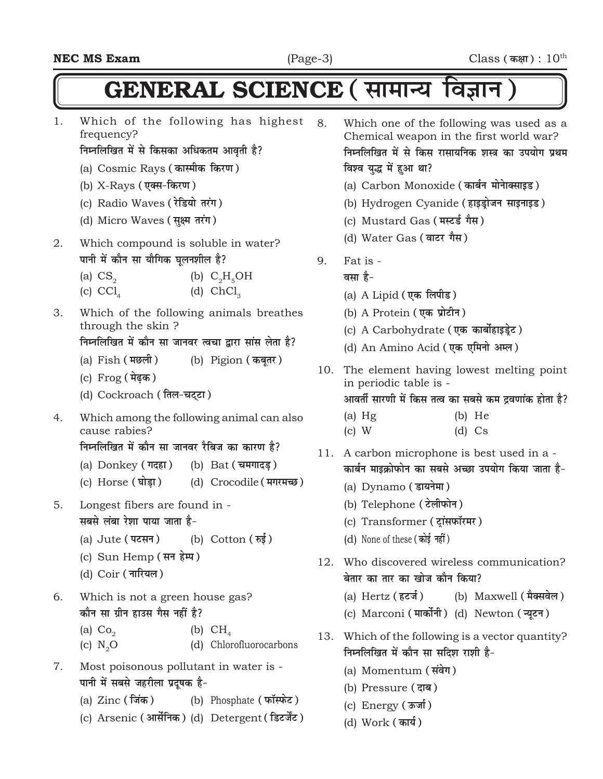## $GENERAL$  SCIENCE ( सामान्य विज्ञान )

1. Which of the following has highest frequency?

#### **निम्नलिखित में से किसका अधिकतम आवृती है?**

- (a) Cosmic Rays (कास्मीक किरण)
- (b) X-Rays (एक्स-किरण)
- (c) Radio Waves (रेडियो तरंग)
- (d) Micro Waves (सूक्ष्म तरंग)
- 2. Which compound is soluble in water? **पानी में कौन सा यौगिक घलनशील है?** 
	- (a)  $CS<sub>2</sub>$ (b)  $C_2H_5OH$
	- (c)  $CCl<sub>4</sub>$ (d)  $ChCl<sub>3</sub>$
- 3. Which of the following animals breathes through the skin ?

<u>निम्नलिखित में कौन सा जानवर त्वचा द्वारा सांस लेता है?</u>

- (a) Fish **(eNyh)** (b) Pigion **(dcwrj)**
- (c) Frog ( **मेढ़क** )
- (d) Cockroach (तिल-चट्टा)
- 4. Which among the following animal can also cause rabies?

**निम्नलिखित में कौन सा जानवर रैबिज का कारण है?** 

- (a) Donkey (गदहा) (b) Bat (चमगादड़)
- (c) Horse (घोड़ा) (d) Crocodile (मगरमच्छ)
- 5. Longest fibers are found in **सबसे लंबा रेशा पाया जाता है-**
	- (a) Jute (पटसन) (b) Cotton (*फई*)
	- (c) Sun Hemp (सन हेम्प)
	- (d) Coir (नारियल)
- 6. Which is not a green house gas? <u>कौन सा ग्रीन हाउस गैस नहीं है?</u>
	- (a)  $Co<sub>2</sub>$ (b)  $CH<sub>4</sub>$
	- (c) N<sub>2</sub>O (d) Chlorofluorocarbons
- 7. Most poisonous pollutant in water is <u>पानी में सबसे जहरीला प्रदूषक है-</u>
	- (a) Zinc (जिंक) (b) Phosphate (फॉस्फेट)
	- (c) Arsenic (आर्सेनिक) (d) Detergent (डिटर्जेंट)
- 8. Which one of the following was used as a Chemical weapon in the first world war? **निम्नलिखित में से किस रासायनिक शस्त्र का उपयोग प्रथम बिश्व युद्ध में हुआ था?** 
	- (a) Carbon Monoxide (कार्बन मोनेाक्साइड)
	- (b) Hydrogen Cyanide (हाइड्रोजन साइनाइड)
	- (c) Mustard Gas ( **मस्टर्ड** गैस)
	- (d) Water Gas (वाटर गैस)
- 9. Fat is
	- **a**सा है-
		- (a) A Lipid (एक लिपीड)
		- (b) A Protein (एक प्रोटीन)
		- (c) A Carbohydrate (एक कार्बोहाइडेट)
		- (d) An Amino Acid (एक एमिनो अम्ल)
- 10. The element having lowest melting point in periodic table is -

आवर्ती सारणी में किस तत्व का सबसे कम द्रवणांक होता **है**?

- (a) Hg (b) He (c) W (d) Cs
- 11. A carbon microphone is best used in a <u>कार्बन माइक्रोफोन का सबसे अच्छा उपयोग किया जाता है-</u>
	- (a) Dynamo (डायनेमा)
	- (b) Telephone (टेलीफोन)
	- (c) Transformer (टांसफॉरमर)
	- (d) None of these (कोई नहीं)
- 12. Who discovered wireless communication? <u>बेतार का तार का खोज कौन किया?</u>
	- (a) Hertz (हटर्ज) (b) Maxwell (मैक्सवेल)
	- (c) Marconi (**मार्कोनी**) (d) Newton (न्यूटन)
- 13. Which of the following is a vector quantity? **निम्नलिखित में कौन सा सदिश राशी है-**
	- (a) Momentum (संवेग)
	- (b) Pressure (दाब)
	- (c) Energy (ऊर्जा)
	- (d) Work (**का**र्य)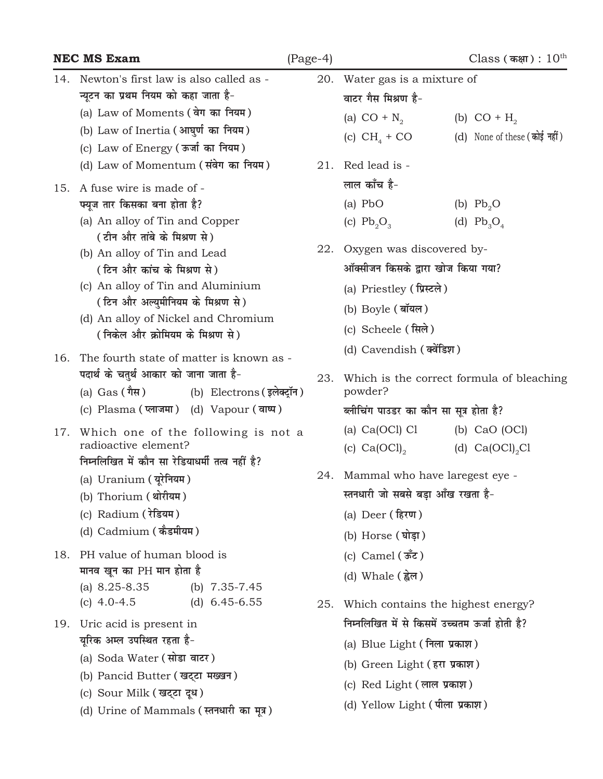|     | <b>NEC MS Exam</b>                                                                                                                                                                                                                                                                                                                                                                  | $(Page-4)$ |                                                                                                                                                                                                                                       | $\text{Class}$ (कक्षा) : $10^{\text{th}}$      |
|-----|-------------------------------------------------------------------------------------------------------------------------------------------------------------------------------------------------------------------------------------------------------------------------------------------------------------------------------------------------------------------------------------|------------|---------------------------------------------------------------------------------------------------------------------------------------------------------------------------------------------------------------------------------------|------------------------------------------------|
| 14. | Newton's first law is also called as -<br>न्यूटन का प्रथम नियम को कहा जाता है-                                                                                                                                                                                                                                                                                                      | 20.        | Water gas is a mixture of<br>वाटर गैस मिश्रण है-                                                                                                                                                                                      |                                                |
|     | (a) Law of Moments (वेग का नियम)<br>(b) Law of Inertia (आघुर्ण का नियम)<br>(c) Law of Energy (ऊर्जा का नियम)                                                                                                                                                                                                                                                                        |            | (a) $CO + N_{2}$<br>(c) $CH4 + CO$                                                                                                                                                                                                    | (b) $CO + H2$<br>(d) None of these (कोई नहीं)  |
| 15. | (d) Law of Momentum (संवेग का नियम)<br>A fuse wire is made of -<br>फ्यूज तार किसका बना होता है?<br>(a) An alloy of Tin and Copper<br>(टीन और तांबे के मिश्रण से)<br>(b) An alloy of Tin and Lead<br>(टिन और कांच के मिश्रण से)<br>(c) An alloy of Tin and Aluminium<br>(टिन और अल्युमीनियम के मिश्रण से)<br>(d) An alloy of Nickel and Chromium<br>(निकेल और क्रोमियम के मिश्रण से) | 22.        | 21. Red lead is -<br>लाल काँच है-<br>$(a)$ PbO<br>(c) $Pb_2O_3$<br>Oxygen was discovered by-<br>ऑक्सीजन किसके द्वारा खोज किया गया?<br>(a) Priestley (प्रिस्टले)<br>(b) Boyle (बॉयल)<br>(c) Scheele (सिले)<br>(d) Cavendish (क्वेंडिश) | (b) $Pb_0$<br>(d) $Pb_3O_4$                    |
| 16. | The fourth state of matter is known as -<br>पदार्थ के चतुर्थ आकार को जाना जाता है-<br>(a) Gas (गैस) (b) Electrons (इलेक्ट्रॉन)<br>(c) Plasma (प्लाजमा) (d) Vapour (वाष्प)                                                                                                                                                                                                           | 23.        | powder?<br>ब्लीचिंग पाउडर का कौन सा सूत्र होता है?                                                                                                                                                                                    | Which is the correct formula of bleaching      |
| 17. | Which one of the following is not a<br>radioactive element?<br>निम्नलिखित में कौन सा रेडियाधर्मी तत्व नहीं है?<br>(a) Uranium (यूरेनियम)<br>(b) Thorium (थोरीयम)<br>(c) Radium (रेडियम)<br>(d) Cadmium (कैडमीयम)                                                                                                                                                                    |            | (a) $Ca(OCl)$ $Cl$<br>(c) $Ca(OCl)_{2}$<br>24. Mammal who have laregest eye -<br>स्तनधारी जो सबसे बड़ा आँख रखता है-<br>(a) Deer (हिरण)<br>(b) Horse (घोड़ा)                                                                           | (b) $CaO$ (OCl)<br>(d) $Ca(OCl)_2Cl$           |
| 18. | PH value of human blood is<br>मानव खून का PH मान होता है<br>(a) $8.25 - 8.35$<br>(b) $7.35 - 7.45$<br>(c) $4.0 - 4.5$<br>(d) $6.45 - 6.55$                                                                                                                                                                                                                                          | 25.        | (c) Camel $(\stackrel{\ast}{\texttt{sec}})$<br>(d) Whale (ह्वेल)                                                                                                                                                                      | Which contains the highest energy?             |
| 19. | Uric acid is present in<br>यूरिक अम्ल उपस्थित रहता है-<br>(a) Soda Water (सोडा वाटर)<br>(b) Pancid Butter (खट्टा मख्खन)<br>(c) Sour Milk (खट्टा दूध)<br>(d) Urine of Mammals (स्तनधारी का मूत्र)                                                                                                                                                                                    |            | (a) Blue Light (निला प्रकाश)<br>(b) Green Light (हरा प्रकाश)<br>(c) Red Light (लाल प्रकाश)<br>(d) Yellow Light (पीला प्रकाश)                                                                                                          | निम्नलिखित में से किसमें उच्चतम ऊर्जा होती है? |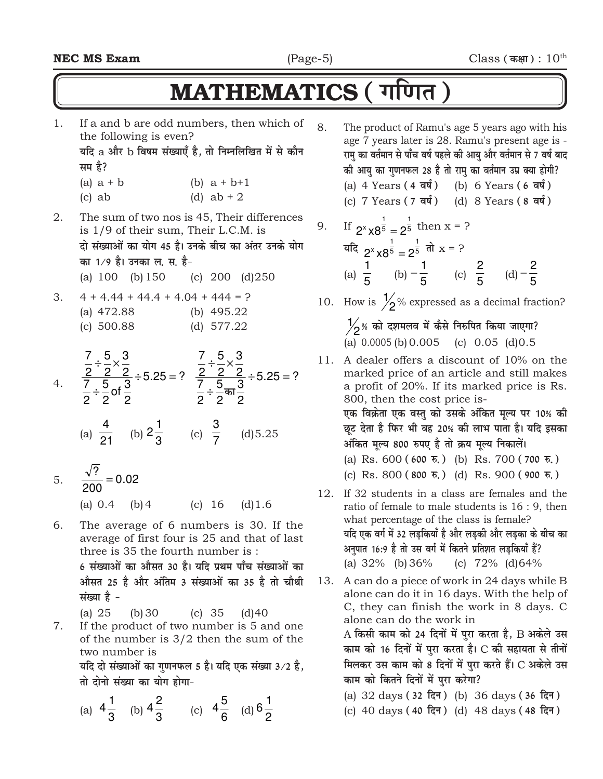## MATHEMATICS ( गणित)

- 1. If a and b are odd numbers, then which of the following is even? यदि a और b विषम संख्याएँ है, तो निम्नलिखित में से कौन **सम** है? (a)  $a + b$  (b)  $a + b + 1$ (c) ab (d)  $ab + 2$ 2. The sum of two nos is 45, Their differences is 1/9 of their sum, Their L.C.M. is दो संख्याओं का योग 45 है। उनके बीच का अंतर उनके योग **का 1⁄9 है। उनका ल. स. है-**(a) 100 (b)150 (c) 200 (d)250
- 3.  $4 + 4.44 + 44.4 + 4.04 + 444 = ?$ (a) 472.88 (b) 495.22 (c) 500.88 (d) 577.22

4. 
$$
\frac{\frac{7}{2} \div \frac{5}{2} \times \frac{3}{2}}{\frac{7}{2} \div \frac{5}{2} \text{ of } \frac{3}{2}} \div 5.25 = ?
$$
 
$$
\frac{\frac{7}{2} \div \frac{5}{2} \times \frac{3}{2}}{\frac{7}{2} \div \frac{5}{2} \text{ or } \frac{3}{2}} \div 5.25 = ?
$$

- (a)  $\overline{21}$ 4 (b)  $2\frac{1}{3}$  $2\frac{1}{3}$  (c)  $\frac{3}{7}$ (d)5.25
- 5.  $\frac{v}{200} = 0.02$  $\overline{?}$  = (a) 0.4 (b)4 (c) 16 (d)1.6

6. The average of 6 numbers is 30. If the average of first four is 25 and that of last three is 35 the fourth number is : 6 संख्याओं का औसत 30 है। यदि प्रथम पाँच संख्याओं का <u>औसत 25 है और अंतिम 3 संख्याओं का 35 है तो चौथी</u> **lation**  $\dot{\mathbf{g}}$  -

(a) 25 (b)30 (c) 35 (d)40

7. If the product of two number is 5 and one of the number is 3/2 then the sum of the two number is

 $\vec{a}$ दो संख्याओं का गणनफल 5 है। यदि एक संख्या 3/2 है, **तो दोनो संख्या का योग होगा-**

(a) 
$$
4\frac{1}{3}
$$
 (b)  $4\frac{2}{3}$  (c)  $4\frac{5}{6}$  (d)  $6\frac{1}{2}$ 

- 8. The product of Ramu's age 5 years ago with his age 7 years later is 28. Ramu's present age is - <u>रामु</u> का वर्तमान से पाँच वर्ष पहले की आयु और वर्तमान से 7 वर्ष बाद <u>की आयु का गुणनफल 28 है तो रामु का वर्तमान उम्र क्या होगी?</u>
	- (a) 4 Years (4 वर्ष) (b) 6 Years (6 वर्ष)
	- (c) 7 Years (7 वर्ष) (d) 8 Years (8 वर्ष)

9. If 
$$
2^{x} \times 8^{\frac{1}{5}} = 2^{\frac{1}{5}}
$$
 then  $x = ?$   
\n $3\pi$   
\n $4\pi$   
\n $2^{x} \times 8^{\frac{1}{5}} = 2^{\frac{1}{5}}$   
\n $4\pi$   
\n $4\pi$   
\n $2^{x} \times 8^{\frac{1}{5}} = 2^{\frac{1}{5}}$   
\n $5 \times 8^{\frac{1}{5}} = 2^{\frac{1}{5}}$   
\n $4\pi$   
\n $5 \times 8^{\frac{1}{5}} = 2^{\frac{1}{5}}$   
\n $5 \times 8^{\frac{1}{5}} = 2^{\frac{1}{5}}$   
\n $5 \times 8^{\frac{1}{5}} = 2^{\frac{1}{5}}$   
\n $5 \times 8^{\frac{1}{5}} = 2^{\frac{1}{5}}$ 

10. How is  $\frac{1}{2}$ % expressed as a decimal fraction?

 $\frac{1}{2}$ % को दशमलव में कैसे निरुपित किया जाएगा? (a) 0.0005 (b)0.005 (c) 0.05 (d)0.5

- 11. A dealer offers a discount of 10% on the marked price of an article and still makes a profit of 20%. If its marked price is Rs. 800, then the cost price is- एक विक्रेता एक वस्तु को उसके अंकित मूल्य पर 10% क<mark>ी</mark> <u>छ</u>ट देता है फिर भी वह 20% की लाभ पाता है। यदि इसका अंकित मूल्य 800 रुपए है तो क्रय मूल्य निकालें।
	- (a) Rs. 600 **(600 #-)** (b) Rs. 700 **(700 #-)**
	- (c) Rs. 800 **(800 #-)** (d) Rs. 900 **(900 #-)**
- 12. If 32 students in a class are females and the ratio of female to male students is 16 : 9, then what percentage of the class is female? <u>यदि एक वर्ग में 32 लड़कियाँ है और लड़की और लड़का के बीच का</u> अनुपात 16:9 है तो उस वर्ग में कितने प्रतिशत लड़कियाँ हैं? (a) 32% (b)36% (c) 72% (d)64%
- 13. A can do a piece of work in 24 days while B alone can do it in 16 days. With the help of C, they can finish the work in 8 days. C alone can do the work in A किसी काम को 24 दिनों में पुरा करता है, B अकेले उस काम को 16 दिनों में पुरा करता है। C की सहायता से तीनों **मिलकर उस काम को 8 दिनों में पुरा करते हैं। C अकेले उस** काम को कितने दिनों में पुरा करेगा?
	- (a) 32 days (32 दिन) (b) 36 days (36 दिन)
	- (c) 40 days (40 दिन) (d) 48 days (48 दिन)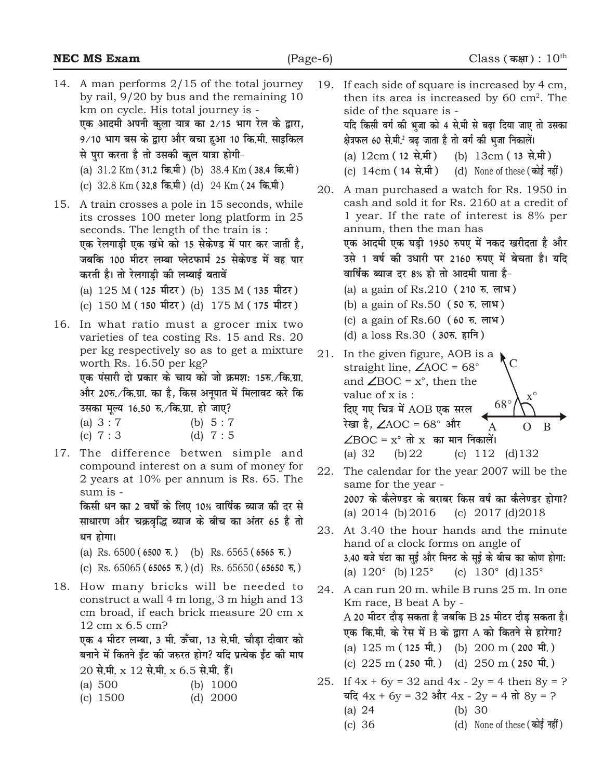|     | <b>NEC MS Exam</b>                                                                                                                                                                                                                                                                                                                                                                                                                  | $(Page-6)$ | Class (कक्षा): $10^{\text{th}}$                                                                                                                                                                                                                                                                                                                                                                                                                                                  |
|-----|-------------------------------------------------------------------------------------------------------------------------------------------------------------------------------------------------------------------------------------------------------------------------------------------------------------------------------------------------------------------------------------------------------------------------------------|------------|----------------------------------------------------------------------------------------------------------------------------------------------------------------------------------------------------------------------------------------------------------------------------------------------------------------------------------------------------------------------------------------------------------------------------------------------------------------------------------|
|     | 14. A man performs 2/15 of the total journey<br>by rail, $9/20$ by bus and the remaining 10<br>km on cycle. His total journey is -<br>एक आदमी अपनी कुला यात्र का 2/15 भाग रेल के द्वारा,<br>9/10 भाग बस के द्वारा और बचा हुआ 10 कि.मी. साइकिल<br>से पुरा करता है तो उसकी कुल यात्रा होगी-<br>(a) 31.2 Km (31.2 कि.मी) (b) 38.4 Km (38.4 कि.मी)<br>(c) 32.8 Km (32.8 कि.मी) (d) 24 Km (24 कि.मी)                                     | 19.<br>20. | If each side of square is increased by 4 cm,<br>then its area is increased by 60 $\text{cm}^2$ . The<br>side of the square is -<br>यदि किसी वर्ग की भुजा को 4 से.मी से बढ़ा दिया जाए तो उसका<br>क्षेत्रफल 60 से.मी. बढ़ जाता है तो वर्ग की भुजा निकालें।<br>(a) $12 \text{cm}$ (12 से.मी)<br>(b) 13cm (13 से.मी)<br>(c) $14 \text{cm}$ ( $14 \text{cm}$ ) (d) None of these (कोई नहीं)<br>A man purchased a watch for Rs. 1950 in                                                |
| 15. | A train crosses a pole in 15 seconds, while<br>its crosses 100 meter long platform in 25<br>seconds. The length of the train is :<br>एक रेलगाड़ी एक खंभे को 15 सेकेण्ड में पार कर जाती है,<br>जबकि 100 मीटर लम्बा प्लेटफार्म 25 सेकेण्ड में वह पार<br>करती है। तो रेलगाड़ी की लम्बाई बतावें<br>(a) 125 M (125 मीटर) (b) 135 M (135 मीटर)<br>(c) 150 M (150 मीटर) (d) 175 M (175 मीटर)                                               |            | cash and sold it for Rs. 2160 at a credit of<br>1 year. If the rate of interest is 8% per<br>annum, then the man has<br>एक आदमी एक घड़ी 1950 रुपए में नकद खरीदता है और<br>उसे 1 वर्ष की उधारी पर 2160 रुपए में बेचता है। यदि<br>वार्षिक ब्याज दर 8% हो तो आदमी पाता है-<br>(a) a gain of Rs.210 (210 स. लाभ)<br>(b) a gain of Rs.50 (50 स. लाभ)                                                                                                                                  |
| 16. | In what ratio must a grocer mix two<br>varieties of tea costing Rs. 15 and Rs. 20<br>per kg respectively so as to get a mixture<br>worth Rs. 16.50 per kg?<br>एक पंसारी दो प्रकार के चाय को जो क्रमश: 15रु. ⁄कि.ग्रा.<br>और 20रु.∕कि.ग्रा. का है, किस अनूपात में मिलावट करे कि<br>उसका मूल्य 16.50 रु. ∕कि.ग्रा. हो जाए?<br>(a) $3:7$<br>(b) $5:7$<br>(c) $7:3$<br>(d) $7:5$                                                        | 21.        | (c) a gain of Rs.60 (60 रु. लाभ)<br>(d) a loss Rs.30 (305, हानि)<br>In the given figure, AOB is a<br>straight line, $\angle AOC = 68^\circ$<br>and $\angle$ BOC = $x^\circ$ , then the<br>value of x is:<br>$X^{\circ}$<br>$68^{\circ}$<br>दिए गए चित्र में AOB एक सरल<br>रेखा है, $\angle$ AOC = 68° और<br>$\mathsf{A}$<br>B<br>$\Omega$<br>$\angle$ BOC = $x^{\circ}$ तो $x$ का मान निकालें।                                                                                   |
| 17. | The difference betwen simple and<br>compound interest on a sum of money for<br>2 years at 10% per annum is Rs. 65. The<br>sum is -<br>किसी धन का 2 वर्षों के लिए 10% वार्षिक ब्याज की दर से<br>साधारण और चक्रवृद्धि ब्याज के बीच का अंतर 65 है तो<br>धन होगा।<br>(a) Rs. $6500(6500 \overline{\pi})$ (b) Rs. $6565(6565 \overline{\pi})$<br>(c) Rs. $65065$ (65065 $\overline{\tau}$ .) (d) Rs. $65650$ (65650 $\overline{\tau}$ .) | 22.<br>23. | (a) $32$<br>(b) 22<br>(c) 112<br>$(d)$ 132<br>The calendar for the year 2007 will be the<br>same for the year -<br>2007 के कैलेण्डर के बराबर किस वर्ष का कैलेण्डर होगा?<br>(a) $2014$ (b) $2016$<br>(c) $2017$ (d) $2018$<br>At 3.40 the hour hands and the minute<br>hand of a clock forms on angle of<br>3.40 बजे घंटा का सुई और मिनट के सूई के बीच का कोण होगा:<br>(a) $120^{\circ}$ (b) $125^{\circ}$ (c) $130^{\circ}$ (d) $135^{\circ}$                                    |
| 18. | How many bricks will be needed to<br>construct a wall 4 m long, 3 m high and 13<br>cm broad, if each brick measure 20 cm x<br>12 cm x 6.5 cm?<br>एक 4 मीटर लम्बा, 3 मी. ऊँचा, 13 से.मी. चौड़ा दीवार को<br>बनाने में कितने ईंट की जरुरत होग? यदि प्रत्येक ईंट की माप<br>$20$ से.मी. $x\ 12$ से.मी. $x\ 6.5$ से.मी. हैं।<br>(a) $500$<br>(b) $1000$<br>$(d)$ 2000<br>(c) $1500$                                                       | 24.<br>25. | A can run 20 m, while B runs 25 m. In one<br>Km race, B beat A by -<br>A 20 मीटर दौड़ सकता है जबकि B 25 मीटर दौड़ सकता है।<br>एक कि.मी. के रेस में B के द्वारा A को कितने से हारेगा?<br>(a) 125 m (125 मी.) (b) 200 m (200 मी.)<br>(c) $225 \text{ m}$ (250 मी.) (d) $250 \text{ m}$ (250 मी.)<br>If $4x + 6y = 32$ and $4x - 2y = 4$ then $8y = ?$<br>$\overline{4}$ दि 4x + 6y = 32 और 4x - 2y = 4 तो 8y = ?<br>(a) $24$<br>(b) $30$<br>(d) None of these (कोई नहीं)<br>(c) 36 |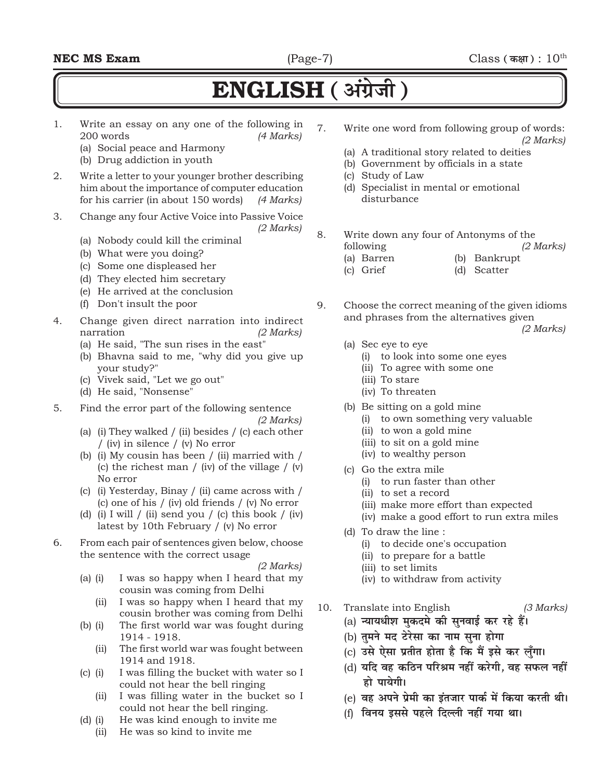### **ENGLISH** (अंग्रेजी)

- 1. Write an essay on any one of the following in 200 words *(4 Marks)*
	- (a) Social peace and Harmony
	- (b) Drug addiction in youth
- 2. Write a letter to your younger brother describing him about the importance of computer education for his carrier (in about 150 words) *(4 Marks)*
- 3. Change any four Active Voice into Passive Voice *(2 Marks)*
	- (a) Nobody could kill the criminal
	- (b) What were you doing?
	- (c) Some one displeased her
	- (d) They elected him secretary
	- (e) He arrived at the conclusion
	- (f) Don't insult the poor
- 4. Change given direct narration into indirect narration *(2 Marks)*
	- (a) He said, "The sun rises in the east"
	- (b) Bhavna said to me, "why did you give up your study?"
	- (c) Vivek said, "Let we go out"
	- (d) He said, "Nonsense"
- 5. Find the error part of the following sentence

*(2 Marks)*

- (a) (i) They walked / (ii) besides / (c) each other / (iv) in silence / (v) No error
- (b) (i) My cousin has been / (ii) married with / (c) the richest man / (iv) of the village /  $(v)$ No error
- (c) (i) Yesterday, Binay / (ii) came across with / (c) one of his / (iv) old friends / (v) No error
- (d) (i) I will  $/$  (ii) send you  $/$  (c) this book  $/$  (iv) latest by 10th February / (v) No error
- 6. From each pair of sentences given below, choose the sentence with the correct usage

- (a) (i) I was so happy when I heard that my cousin was coming from Delhi
	- (ii) I was so happy when I heard that my cousin brother was coming from Delhi
- (b) (i) The first world war was fought during 1914 - 1918.
	- (ii) The first world war was fought between 1914 and 1918.
- (c) (i) I was filling the bucket with water so I could not hear the bell ringing
	- (ii) I was filling water in the bucket so I could not hear the bell ringing.
- (d) (i) He was kind enough to invite me
	- (ii) He was so kind to invite me
- 7. Write one word from following group of words: *(2 Marks)*
	- (a) A traditional story related to deities
	- (b) Government by officials in a state
	- (c) Study of Law
	- (d) Specialist in mental or emotional disturbance
- 8. Write down any four of Antonyms of the following *(2 Marks)*
	- (a) Barren (b) Bankrupt
	- (c) Grief (d) Scatter
- 9. Choose the correct meaning of the given idioms and phrases from the alternatives given

*(2 Marks)*

- (a) Sec eye to eye
	- (i) to look into some one eyes
	- (ii) To agree with some one
	- (iii) To stare
	- (iv) To threaten
- (b) Be sitting on a gold mine
	- (i) to own something very valuable
	- (ii) to won a gold mine
	- (iii) to sit on a gold mine
	- (iv) to wealthy person
- (c) Go the extra mile
	- (i) to run faster than other
	- (ii) to set a record
	- (iii) make more effort than expected
	- (iv) make a good effort to run extra miles
- (d) To draw the line :
	- (i) to decide one's occupation
	- (ii) to prepare for a battle
	- (iii) to set limits
	- (iv) to withdraw from activity
- 10. Translate into English *(3 Marks)*
	- (a) न्यायधीश मकदमे की सनवाई कर रहे हैं।
	- (b) तुमने मद टेरेसा का नाम सुना होगा
	- (c) उसे ऐसा प्रतीत होता है कि मैं इसे कर लँगा।
	- (d) यदि वह कठिन परिश्रम नहीं करेगी. वह सफल नहीं हो पायेगी।
	- (e) वह अपने प्रेमी का इंतजार पार्क में किया करती थी।
	- (f) विनय इससे पहले दिल्ली नहीं गया था।

*<sup>(2</sup> Marks)*